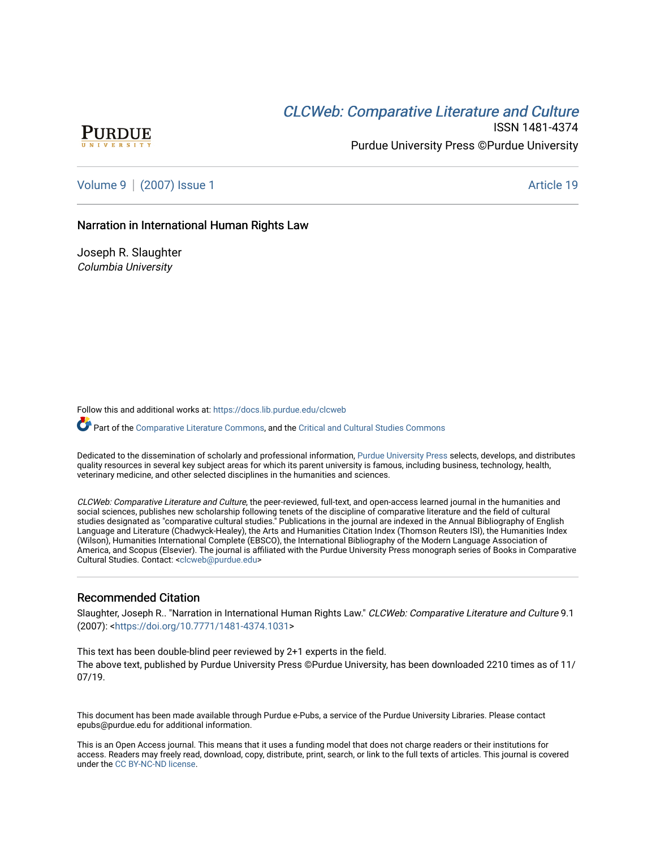# **CLCW[eb: Comparative Liter](https://docs.lib.purdue.edu/clcweb)ature and Culture**



ISSN 1481-4374 Purdue University Press ©Purdue University

[Volume 9](https://docs.lib.purdue.edu/clcweb/vol9) | [\(2007\) Issue 1](https://docs.lib.purdue.edu/clcweb/vol9/iss1) Article 19

#### Narration in International Human Rights Law

Joseph R. Slaughter Columbia University

Follow this and additional works at: [https://docs.lib.purdue.edu/clcweb](https://docs.lib.purdue.edu/clcweb?utm_source=docs.lib.purdue.edu%2Fclcweb%2Fvol9%2Fiss1%2F19&utm_medium=PDF&utm_campaign=PDFCoverPages)

Part of the [Comparative Literature Commons,](http://network.bepress.com/hgg/discipline/454?utm_source=docs.lib.purdue.edu%2Fclcweb%2Fvol9%2Fiss1%2F19&utm_medium=PDF&utm_campaign=PDFCoverPages) and the Critical and Cultural Studies Commons

Dedicated to the dissemination of scholarly and professional information, [Purdue University Press](http://www.thepress.purdue.edu/) selects, develops, and distributes quality resources in several key subject areas for which its parent university is famous, including business, technology, health, veterinary medicine, and other selected disciplines in the humanities and sciences.

CLCWeb: Comparative Literature and Culture, the peer-reviewed, full-text, and open-access learned journal in the humanities and social sciences, publishes new scholarship following tenets of the discipline of comparative literature and the field of cultural studies designated as "comparative cultural studies." Publications in the journal are indexed in the Annual Bibliography of English Language and Literature (Chadwyck-Healey), the Arts and Humanities Citation Index (Thomson Reuters ISI), the Humanities Index (Wilson), Humanities International Complete (EBSCO), the International Bibliography of the Modern Language Association of America, and Scopus (Elsevier). The journal is affiliated with the Purdue University Press monograph series of Books in Comparative Cultural Studies. Contact: [<clcweb@purdue.edu](mailto:clcweb@purdue.edu)>

### Recommended Citation

Slaughter, Joseph R.. "Narration in International Human Rights Law." CLCWeb: Comparative Literature and Culture 9.1 (2007): [<https://doi.org/10.7771/1481-4374.1031](https://doi.org/10.7771/1481-4374.1031)>

This text has been double-blind peer reviewed by 2+1 experts in the field. The above text, published by Purdue University Press ©Purdue University, has been downloaded 2210 times as of 11/ 07/19.

This document has been made available through Purdue e-Pubs, a service of the Purdue University Libraries. Please contact epubs@purdue.edu for additional information.

This is an Open Access journal. This means that it uses a funding model that does not charge readers or their institutions for access. Readers may freely read, download, copy, distribute, print, search, or link to the full texts of articles. This journal is covered under the [CC BY-NC-ND license.](https://creativecommons.org/licenses/by-nc-nd/4.0/)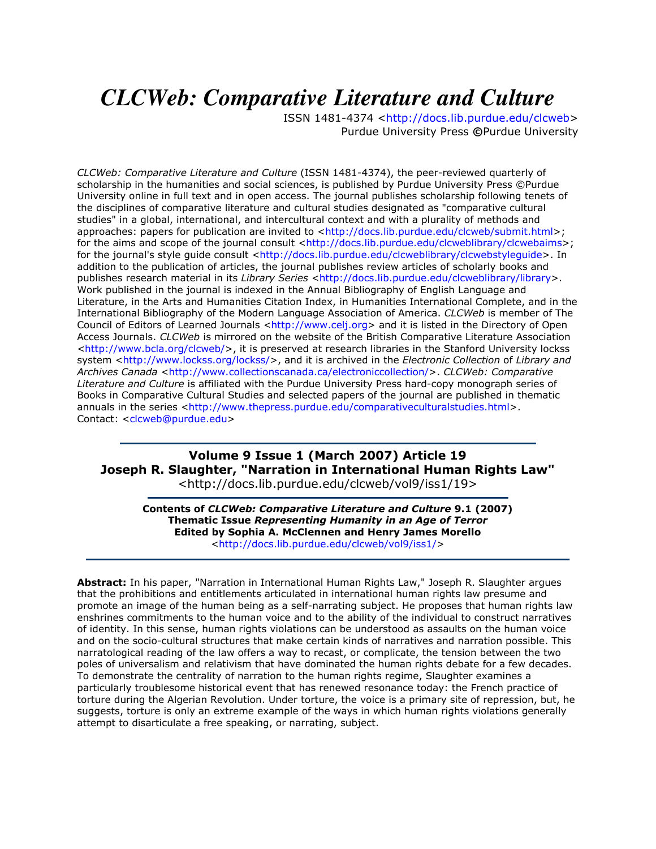# *CLCWeb: Comparative Literature and Culture*

ISSN 1481-4374 <http://docs.lib.purdue.edu/clcweb> Purdue University Press ©Purdue University

CLCWeb: Comparative Literature and Culture (ISSN 1481-4374), the peer-reviewed quarterly of scholarship in the humanities and social sciences, is published by Purdue University Press ©Purdue University online in full text and in open access. The journal publishes scholarship following tenets of the disciplines of comparative literature and cultural studies designated as "comparative cultural studies" in a global, international, and intercultural context and with a plurality of methods and approaches: papers for publication are invited to <http://docs.lib.purdue.edu/clcweb/submit.html>; for the aims and scope of the journal consult <http://docs.lib.purdue.edu/clcweblibrary/clcwebaims>; for the journal's style quide consult <http://docs.lib.purdue.edu/clcweblibrary/clcwebstylequide>. In addition to the publication of articles, the journal publishes review articles of scholarly books and publishes research material in its Library Series <http://docs.lib.purdue.edu/clcweblibrary/library>. Work published in the journal is indexed in the Annual Bibliography of English Language and Literature, in the Arts and Humanities Citation Index, in Humanities International Complete, and in the International Bibliography of the Modern Language Association of America. CLCWeb is member of The Council of Editors of Learned Journals <http://www.celj.org> and it is listed in the Directory of Open Access Journals. CLCWeb is mirrored on the website of the British Comparative Literature Association <http://www.bcla.org/clcweb/>, it is preserved at research libraries in the Stanford University lockss system <http://www.lockss.org/lockss/>, and it is archived in the Electronic Collection of Library and Archives Canada <http://www.collectionscanada.ca/electroniccollection/>. CLCWeb: Comparative Literature and Culture is affiliated with the Purdue University Press hard-copy monograph series of Books in Comparative Cultural Studies and selected papers of the journal are published in thematic annuals in the series <http://www.thepress.purdue.edu/comparativeculturalstudies.html>. Contact: <clcweb@purdue.edu>

Volume 9 Issue 1 (March 2007) Article 19 Joseph R. Slaughter, "Narration in International Human Rights Law" <http://docs.lib.purdue.edu/clcweb/vol9/iss1/19>

Contents of CLCWeb: Comparative Literature and Culture 9.1 (2007) Thematic Issue Representing Humanity in an Age of Terror Edited by Sophia A. McClennen and Henry James Morello <http://docs.lib.purdue.edu/clcweb/vol9/iss1/>

Abstract: In his paper, "Narration in International Human Rights Law," Joseph R. Slaughter argues that the prohibitions and entitlements articulated in international human rights law presume and promote an image of the human being as a self-narrating subject. He proposes that human rights law enshrines commitments to the human voice and to the ability of the individual to construct narratives of identity. In this sense, human rights violations can be understood as assaults on the human voice and on the socio-cultural structures that make certain kinds of narratives and narration possible. This narratological reading of the law offers a way to recast, or complicate, the tension between the two poles of universalism and relativism that have dominated the human rights debate for a few decades. To demonstrate the centrality of narration to the human rights regime, Slaughter examines a particularly troublesome historical event that has renewed resonance today: the French practice of torture during the Algerian Revolution. Under torture, the voice is a primary site of repression, but, he suggests, torture is only an extreme example of the ways in which human rights violations generally attempt to disarticulate a free speaking, or narrating, subject.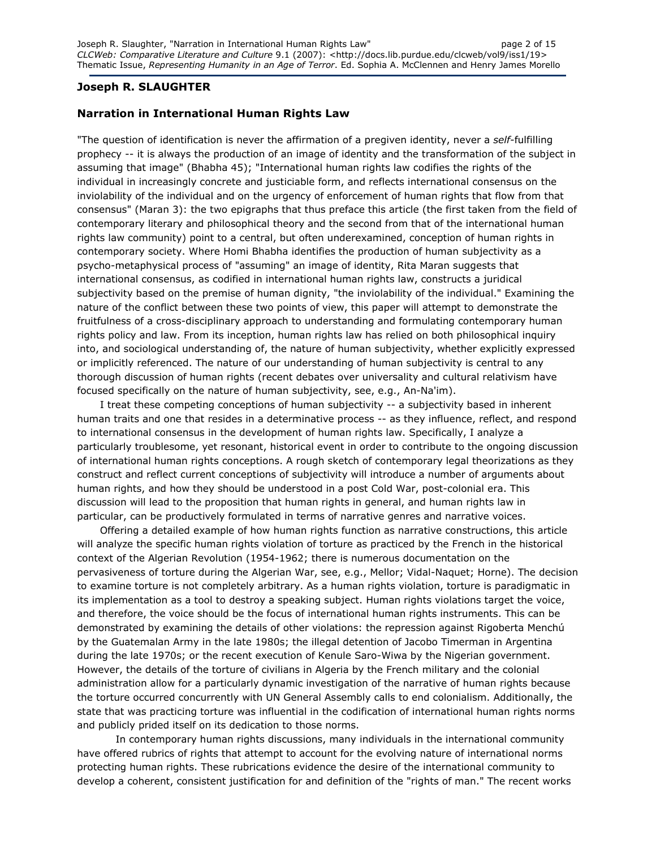# Joseph R. SLAUGHTER

# Narration in International Human Rights Law

"The question of identification is never the affirmation of a pregiven identity, never a self-fulfilling prophecy -- it is always the production of an image of identity and the transformation of the subject in assuming that image" (Bhabha 45); "International human rights law codifies the rights of the individual in increasingly concrete and justiciable form, and reflects international consensus on the inviolability of the individual and on the urgency of enforcement of human rights that flow from that consensus" (Maran 3): the two epigraphs that thus preface this article (the first taken from the field of contemporary literary and philosophical theory and the second from that of the international human rights law community) point to a central, but often underexamined, conception of human rights in contemporary society. Where Homi Bhabha identifies the production of human subjectivity as a psycho-metaphysical process of "assuming" an image of identity, Rita Maran suggests that international consensus, as codified in international human rights law, constructs a juridical subjectivity based on the premise of human dignity, "the inviolability of the individual." Examining the nature of the conflict between these two points of view, this paper will attempt to demonstrate the fruitfulness of a cross-disciplinary approach to understanding and formulating contemporary human rights policy and law. From its inception, human rights law has relied on both philosophical inquiry into, and sociological understanding of, the nature of human subjectivity, whether explicitly expressed or implicitly referenced. The nature of our understanding of human subjectivity is central to any thorough discussion of human rights (recent debates over universality and cultural relativism have focused specifically on the nature of human subjectivity, see, e.g., An-Na'im).

I treat these competing conceptions of human subjectivity -- a subjectivity based in inherent human traits and one that resides in a determinative process -- as they influence, reflect, and respond to international consensus in the development of human rights law. Specifically, I analyze a particularly troublesome, yet resonant, historical event in order to contribute to the ongoing discussion of international human rights conceptions. A rough sketch of contemporary legal theorizations as they construct and reflect current conceptions of subjectivity will introduce a number of arguments about human rights, and how they should be understood in a post Cold War, post-colonial era. This discussion will lead to the proposition that human rights in general, and human rights law in particular, can be productively formulated in terms of narrative genres and narrative voices.

Offering a detailed example of how human rights function as narrative constructions, this article will analyze the specific human rights violation of torture as practiced by the French in the historical context of the Algerian Revolution (1954-1962; there is numerous documentation on the pervasiveness of torture during the Algerian War, see, e.g., Mellor; Vidal-Naquet; Horne). The decision to examine torture is not completely arbitrary. As a human rights violation, torture is paradigmatic in its implementation as a tool to destroy a speaking subject. Human rights violations target the voice, and therefore, the voice should be the focus of international human rights instruments. This can be demonstrated by examining the details of other violations: the repression against Rigoberta Menchú by the Guatemalan Army in the late 1980s; the illegal detention of Jacobo Timerman in Argentina during the late 1970s; or the recent execution of Kenule Saro-Wiwa by the Nigerian government. However, the details of the torture of civilians in Algeria by the French military and the colonial administration allow for a particularly dynamic investigation of the narrative of human rights because the torture occurred concurrently with UN General Assembly calls to end colonialism. Additionally, the state that was practicing torture was influential in the codification of international human rights norms and publicly prided itself on its dedication to those norms.

 In contemporary human rights discussions, many individuals in the international community have offered rubrics of rights that attempt to account for the evolving nature of international norms protecting human rights. These rubrications evidence the desire of the international community to develop a coherent, consistent justification for and definition of the "rights of man." The recent works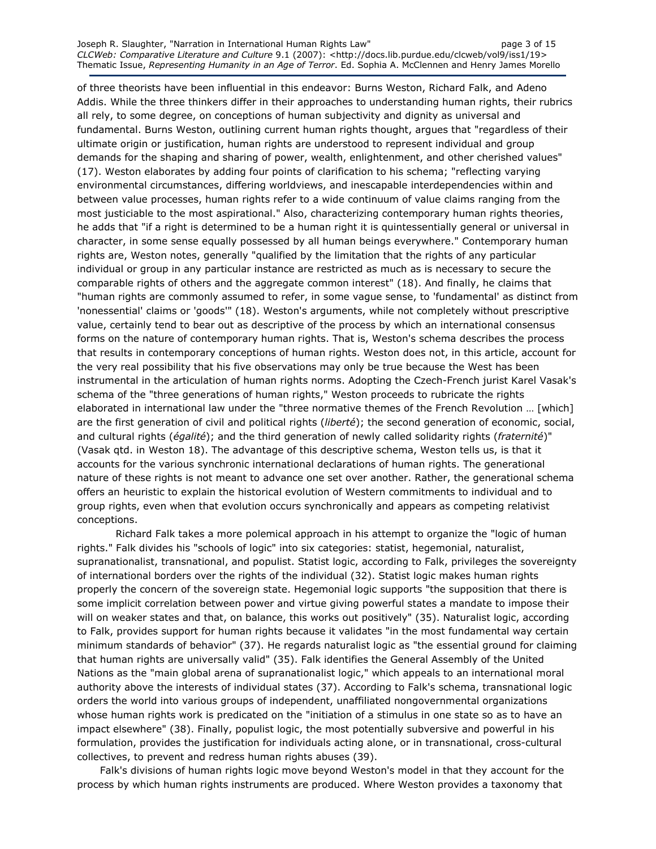of three theorists have been influential in this endeavor: Burns Weston, Richard Falk, and Adeno Addis. While the three thinkers differ in their approaches to understanding human rights, their rubrics all rely, to some degree, on conceptions of human subjectivity and dignity as universal and fundamental. Burns Weston, outlining current human rights thought, argues that "regardless of their ultimate origin or justification, human rights are understood to represent individual and group demands for the shaping and sharing of power, wealth, enlightenment, and other cherished values" (17). Weston elaborates by adding four points of clarification to his schema; "reflecting varying environmental circumstances, differing worldviews, and inescapable interdependencies within and between value processes, human rights refer to a wide continuum of value claims ranging from the most justiciable to the most aspirational." Also, characterizing contemporary human rights theories, he adds that "if a right is determined to be a human right it is quintessentially general or universal in character, in some sense equally possessed by all human beings everywhere." Contemporary human rights are, Weston notes, generally "qualified by the limitation that the rights of any particular individual or group in any particular instance are restricted as much as is necessary to secure the comparable rights of others and the aggregate common interest" (18). And finally, he claims that "human rights are commonly assumed to refer, in some vague sense, to 'fundamental' as distinct from 'nonessential' claims or 'goods'" (18). Weston's arguments, while not completely without prescriptive value, certainly tend to bear out as descriptive of the process by which an international consensus forms on the nature of contemporary human rights. That is, Weston's schema describes the process that results in contemporary conceptions of human rights. Weston does not, in this article, account for the very real possibility that his five observations may only be true because the West has been instrumental in the articulation of human rights norms. Adopting the Czech-French jurist Karel Vasak's schema of the "three generations of human rights," Weston proceeds to rubricate the rights elaborated in international law under the "three normative themes of the French Revolution … [which] are the first generation of civil and political rights (liberté); the second generation of economic, social, and cultural rights (égalité); and the third generation of newly called solidarity rights (fraternité)" (Vasak qtd. in Weston 18). The advantage of this descriptive schema, Weston tells us, is that it accounts for the various synchronic international declarations of human rights. The generational nature of these rights is not meant to advance one set over another. Rather, the generational schema offers an heuristic to explain the historical evolution of Western commitments to individual and to group rights, even when that evolution occurs synchronically and appears as competing relativist conceptions.

 Richard Falk takes a more polemical approach in his attempt to organize the "logic of human rights." Falk divides his "schools of logic" into six categories: statist, hegemonial, naturalist, supranationalist, transnational, and populist. Statist logic, according to Falk, privileges the sovereignty of international borders over the rights of the individual (32). Statist logic makes human rights properly the concern of the sovereign state. Hegemonial logic supports "the supposition that there is some implicit correlation between power and virtue giving powerful states a mandate to impose their will on weaker states and that, on balance, this works out positively" (35). Naturalist logic, according to Falk, provides support for human rights because it validates "in the most fundamental way certain minimum standards of behavior" (37). He regards naturalist logic as "the essential ground for claiming that human rights are universally valid" (35). Falk identifies the General Assembly of the United Nations as the "main global arena of supranationalist logic," which appeals to an international moral authority above the interests of individual states (37). According to Falk's schema, transnational logic orders the world into various groups of independent, unaffiliated nongovernmental organizations whose human rights work is predicated on the "initiation of a stimulus in one state so as to have an impact elsewhere" (38). Finally, populist logic, the most potentially subversive and powerful in his formulation, provides the justification for individuals acting alone, or in transnational, cross-cultural collectives, to prevent and redress human rights abuses (39).

Falk's divisions of human rights logic move beyond Weston's model in that they account for the process by which human rights instruments are produced. Where Weston provides a taxonomy that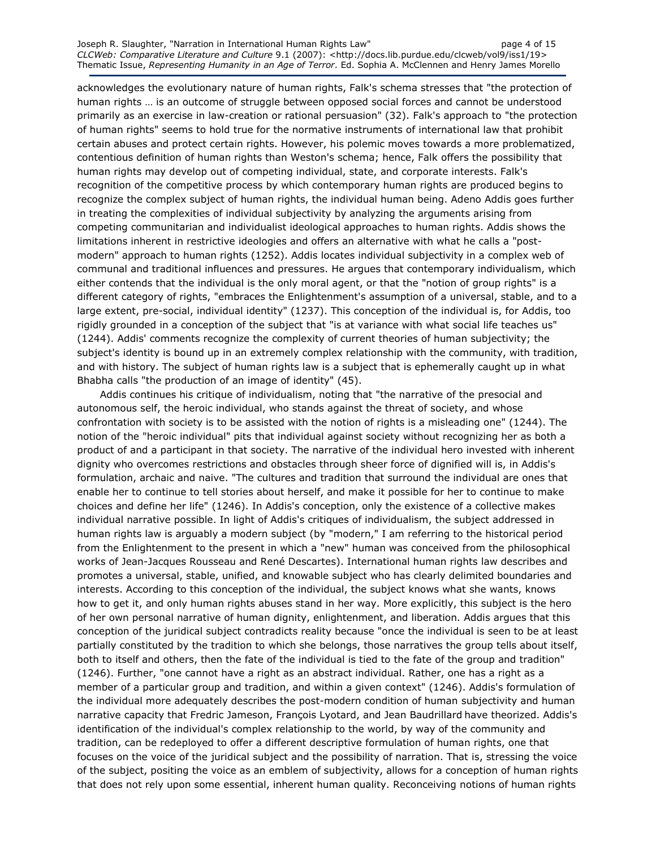acknowledges the evolutionary nature of human rights, Falk's schema stresses that "the protection of human rights … is an outcome of struggle between opposed social forces and cannot be understood primarily as an exercise in law-creation or rational persuasion" (32). Falk's approach to "the protection of human rights" seems to hold true for the normative instruments of international law that prohibit certain abuses and protect certain rights. However, his polemic moves towards a more problematized, contentious definition of human rights than Weston's schema; hence, Falk offers the possibility that human rights may develop out of competing individual, state, and corporate interests. Falk's recognition of the competitive process by which contemporary human rights are produced begins to recognize the complex subject of human rights, the individual human being. Adeno Addis goes further in treating the complexities of individual subjectivity by analyzing the arguments arising from competing communitarian and individualist ideological approaches to human rights. Addis shows the limitations inherent in restrictive ideologies and offers an alternative with what he calls a "postmodern" approach to human rights (1252). Addis locates individual subjectivity in a complex web of communal and traditional influences and pressures. He argues that contemporary individualism, which either contends that the individual is the only moral agent, or that the "notion of group rights" is a different category of rights, "embraces the Enlightenment's assumption of a universal, stable, and to a large extent, pre-social, individual identity" (1237). This conception of the individual is, for Addis, too rigidly grounded in a conception of the subject that "is at variance with what social life teaches us" (1244). Addis' comments recognize the complexity of current theories of human subjectivity; the subject's identity is bound up in an extremely complex relationship with the community, with tradition, and with history. The subject of human rights law is a subject that is ephemerally caught up in what Bhabha calls "the production of an image of identity" (45).

Addis continues his critique of individualism, noting that "the narrative of the presocial and autonomous self, the heroic individual, who stands against the threat of society, and whose confrontation with society is to be assisted with the notion of rights is a misleading one" (1244). The notion of the "heroic individual" pits that individual against society without recognizing her as both a product of and a participant in that society. The narrative of the individual hero invested with inherent dignity who overcomes restrictions and obstacles through sheer force of dignified will is, in Addis's formulation, archaic and naive. "The cultures and tradition that surround the individual are ones that enable her to continue to tell stories about herself, and make it possible for her to continue to make choices and define her life" (1246). In Addis's conception, only the existence of a collective makes individual narrative possible. In light of Addis's critiques of individualism, the subject addressed in human rights law is arguably a modern subject (by "modern," I am referring to the historical period from the Enlightenment to the present in which a "new" human was conceived from the philosophical works of Jean-Jacques Rousseau and René Descartes). International human rights law describes and promotes a universal, stable, unified, and knowable subject who has clearly delimited boundaries and interests. According to this conception of the individual, the subject knows what she wants, knows how to get it, and only human rights abuses stand in her way. More explicitly, this subject is the hero of her own personal narrative of human dignity, enlightenment, and liberation. Addis argues that this conception of the juridical subject contradicts reality because "once the individual is seen to be at least partially constituted by the tradition to which she belongs, those narratives the group tells about itself, both to itself and others, then the fate of the individual is tied to the fate of the group and tradition" (1246). Further, "one cannot have a right as an abstract individual. Rather, one has a right as a member of a particular group and tradition, and within a given context" (1246). Addis's formulation of the individual more adequately describes the post-modern condition of human subjectivity and human narrative capacity that Fredric Jameson, François Lyotard, and Jean Baudrillard have theorized. Addis's identification of the individual's complex relationship to the world, by way of the community and tradition, can be redeployed to offer a different descriptive formulation of human rights, one that focuses on the voice of the juridical subject and the possibility of narration. That is, stressing the voice of the subject, positing the voice as an emblem of subjectivity, allows for a conception of human rights that does not rely upon some essential, inherent human quality. Reconceiving notions of human rights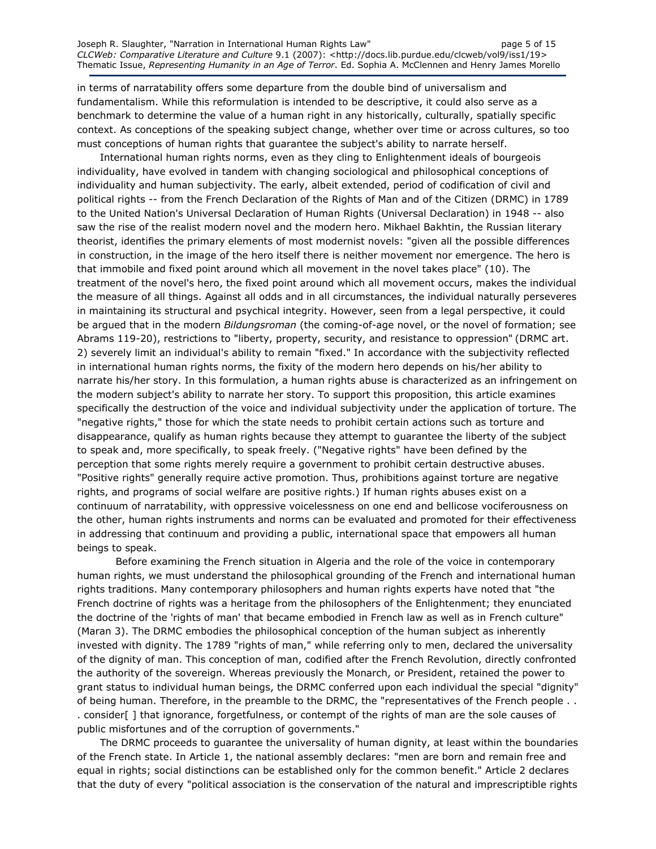in terms of narratability offers some departure from the double bind of universalism and fundamentalism. While this reformulation is intended to be descriptive, it could also serve as a benchmark to determine the value of a human right in any historically, culturally, spatially specific context. As conceptions of the speaking subject change, whether over time or across cultures, so too must conceptions of human rights that guarantee the subject's ability to narrate herself.

International human rights norms, even as they cling to Enlightenment ideals of bourgeois individuality, have evolved in tandem with changing sociological and philosophical conceptions of individuality and human subjectivity. The early, albeit extended, period of codification of civil and political rights -- from the French Declaration of the Rights of Man and of the Citizen (DRMC) in 1789 to the United Nation's Universal Declaration of Human Rights (Universal Declaration) in 1948 -- also saw the rise of the realist modern novel and the modern hero. Mikhael Bakhtin, the Russian literary theorist, identifies the primary elements of most modernist novels: "given all the possible differences in construction, in the image of the hero itself there is neither movement nor emergence. The hero is that immobile and fixed point around which all movement in the novel takes place" (10). The treatment of the novel's hero, the fixed point around which all movement occurs, makes the individual the measure of all things. Against all odds and in all circumstances, the individual naturally perseveres in maintaining its structural and psychical integrity. However, seen from a legal perspective, it could be argued that in the modern Bildungsroman (the coming-of-age novel, or the novel of formation; see Abrams 119-20), restrictions to "liberty, property, security, and resistance to oppression" (DRMC art. 2) severely limit an individual's ability to remain "fixed." In accordance with the subjectivity reflected in international human rights norms, the fixity of the modern hero depends on his/her ability to narrate his/her story. In this formulation, a human rights abuse is characterized as an infringement on the modern subject's ability to narrate her story. To support this proposition, this article examines specifically the destruction of the voice and individual subjectivity under the application of torture. The "negative rights," those for which the state needs to prohibit certain actions such as torture and disappearance, qualify as human rights because they attempt to guarantee the liberty of the subject to speak and, more specifically, to speak freely. ("Negative rights" have been defined by the perception that some rights merely require a government to prohibit certain destructive abuses. "Positive rights" generally require active promotion. Thus, prohibitions against torture are negative rights, and programs of social welfare are positive rights.) If human rights abuses exist on a continuum of narratability, with oppressive voicelessness on one end and bellicose vociferousness on the other, human rights instruments and norms can be evaluated and promoted for their effectiveness in addressing that continuum and providing a public, international space that empowers all human beings to speak.

 Before examining the French situation in Algeria and the role of the voice in contemporary human rights, we must understand the philosophical grounding of the French and international human rights traditions. Many contemporary philosophers and human rights experts have noted that "the French doctrine of rights was a heritage from the philosophers of the Enlightenment; they enunciated the doctrine of the 'rights of man' that became embodied in French law as well as in French culture" (Maran 3). The DRMC embodies the philosophical conception of the human subject as inherently invested with dignity. The 1789 "rights of man," while referring only to men, declared the universality of the dignity of man. This conception of man, codified after the French Revolution, directly confronted the authority of the sovereign. Whereas previously the Monarch, or President, retained the power to grant status to individual human beings, the DRMC conferred upon each individual the special "dignity" of being human. Therefore, in the preamble to the DRMC, the "representatives of the French people . . . consider[ ] that ignorance, forgetfulness, or contempt of the rights of man are the sole causes of public misfortunes and of the corruption of governments."

The DRMC proceeds to guarantee the universality of human dignity, at least within the boundaries of the French state. In Article 1, the national assembly declares: "men are born and remain free and equal in rights; social distinctions can be established only for the common benefit." Article 2 declares that the duty of every "political association is the conservation of the natural and imprescriptible rights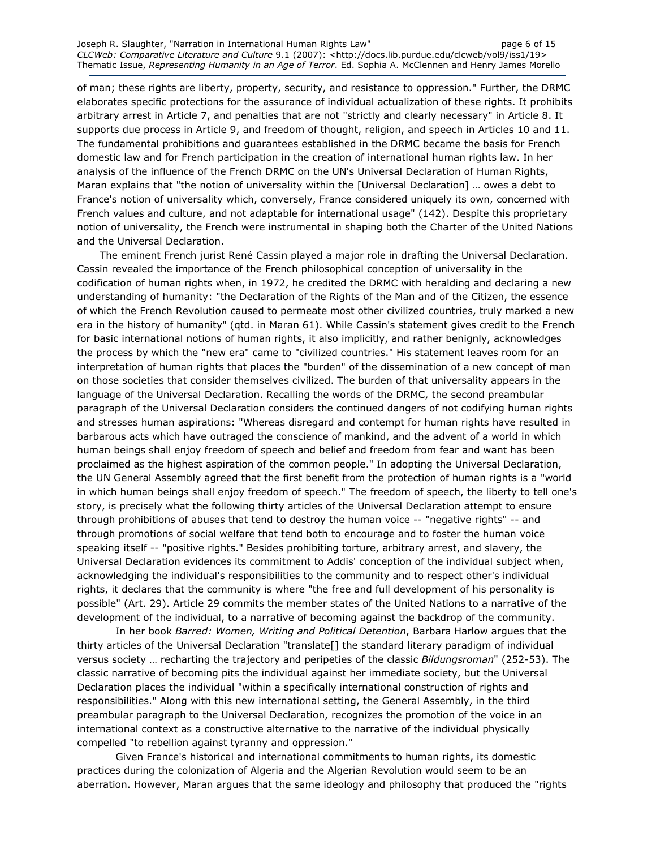of man; these rights are liberty, property, security, and resistance to oppression." Further, the DRMC elaborates specific protections for the assurance of individual actualization of these rights. It prohibits arbitrary arrest in Article 7, and penalties that are not "strictly and clearly necessary" in Article 8. It supports due process in Article 9, and freedom of thought, religion, and speech in Articles 10 and 11. The fundamental prohibitions and guarantees established in the DRMC became the basis for French domestic law and for French participation in the creation of international human rights law. In her analysis of the influence of the French DRMC on the UN's Universal Declaration of Human Rights, Maran explains that "the notion of universality within the [Universal Declaration] … owes a debt to France's notion of universality which, conversely, France considered uniquely its own, concerned with French values and culture, and not adaptable for international usage" (142). Despite this proprietary notion of universality, the French were instrumental in shaping both the Charter of the United Nations and the Universal Declaration.

The eminent French jurist René Cassin played a major role in drafting the Universal Declaration. Cassin revealed the importance of the French philosophical conception of universality in the codification of human rights when, in 1972, he credited the DRMC with heralding and declaring a new understanding of humanity: "the Declaration of the Rights of the Man and of the Citizen, the essence of which the French Revolution caused to permeate most other civilized countries, truly marked a new era in the history of humanity" (qtd. in Maran 61). While Cassin's statement gives credit to the French for basic international notions of human rights, it also implicitly, and rather benignly, acknowledges the process by which the "new era" came to "civilized countries." His statement leaves room for an interpretation of human rights that places the "burden" of the dissemination of a new concept of man on those societies that consider themselves civilized. The burden of that universality appears in the language of the Universal Declaration. Recalling the words of the DRMC, the second preambular paragraph of the Universal Declaration considers the continued dangers of not codifying human rights and stresses human aspirations: "Whereas disregard and contempt for human rights have resulted in barbarous acts which have outraged the conscience of mankind, and the advent of a world in which human beings shall enjoy freedom of speech and belief and freedom from fear and want has been proclaimed as the highest aspiration of the common people." In adopting the Universal Declaration, the UN General Assembly agreed that the first benefit from the protection of human rights is a "world in which human beings shall enjoy freedom of speech." The freedom of speech, the liberty to tell one's story, is precisely what the following thirty articles of the Universal Declaration attempt to ensure through prohibitions of abuses that tend to destroy the human voice -- "negative rights" -- and through promotions of social welfare that tend both to encourage and to foster the human voice speaking itself -- "positive rights." Besides prohibiting torture, arbitrary arrest, and slavery, the Universal Declaration evidences its commitment to Addis' conception of the individual subject when, acknowledging the individual's responsibilities to the community and to respect other's individual rights, it declares that the community is where "the free and full development of his personality is possible" (Art. 29). Article 29 commits the member states of the United Nations to a narrative of the development of the individual, to a narrative of becoming against the backdrop of the community.

 In her book Barred: Women, Writing and Political Detention, Barbara Harlow argues that the thirty articles of the Universal Declaration "translate[] the standard literary paradigm of individual versus society … recharting the trajectory and peripeties of the classic Bildungsroman" (252-53). The classic narrative of becoming pits the individual against her immediate society, but the Universal Declaration places the individual "within a specifically international construction of rights and responsibilities." Along with this new international setting, the General Assembly, in the third preambular paragraph to the Universal Declaration, recognizes the promotion of the voice in an international context as a constructive alternative to the narrative of the individual physically compelled "to rebellion against tyranny and oppression."

 Given France's historical and international commitments to human rights, its domestic practices during the colonization of Algeria and the Algerian Revolution would seem to be an aberration. However, Maran argues that the same ideology and philosophy that produced the "rights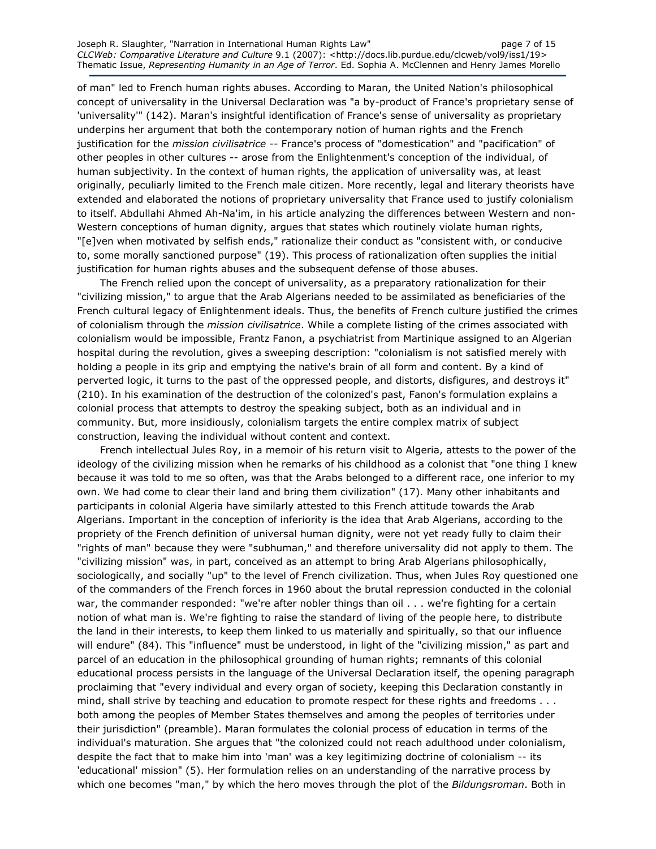of man" led to French human rights abuses. According to Maran, the United Nation's philosophical concept of universality in the Universal Declaration was "a by-product of France's proprietary sense of 'universality'" (142). Maran's insightful identification of France's sense of universality as proprietary underpins her argument that both the contemporary notion of human rights and the French justification for the *mission civilisatrice* -- France's process of "domestication" and "pacification" of other peoples in other cultures -- arose from the Enlightenment's conception of the individual, of human subjectivity. In the context of human rights, the application of universality was, at least originally, peculiarly limited to the French male citizen. More recently, legal and literary theorists have extended and elaborated the notions of proprietary universality that France used to justify colonialism to itself. Abdullahi Ahmed Ah-Na'im, in his article analyzing the differences between Western and non-Western conceptions of human dignity, argues that states which routinely violate human rights, "[e]ven when motivated by selfish ends," rationalize their conduct as "consistent with, or conducive to, some morally sanctioned purpose" (19). This process of rationalization often supplies the initial justification for human rights abuses and the subsequent defense of those abuses.

The French relied upon the concept of universality, as a preparatory rationalization for their "civilizing mission," to argue that the Arab Algerians needed to be assimilated as beneficiaries of the French cultural legacy of Enlightenment ideals. Thus, the benefits of French culture justified the crimes of colonialism through the *mission civilisatrice*. While a complete listing of the crimes associated with colonialism would be impossible, Frantz Fanon, a psychiatrist from Martinique assigned to an Algerian hospital during the revolution, gives a sweeping description: "colonialism is not satisfied merely with holding a people in its grip and emptying the native's brain of all form and content. By a kind of perverted logic, it turns to the past of the oppressed people, and distorts, disfigures, and destroys it" (210). In his examination of the destruction of the colonized's past, Fanon's formulation explains a colonial process that attempts to destroy the speaking subject, both as an individual and in community. But, more insidiously, colonialism targets the entire complex matrix of subject construction, leaving the individual without content and context.

French intellectual Jules Roy, in a memoir of his return visit to Algeria, attests to the power of the ideology of the civilizing mission when he remarks of his childhood as a colonist that "one thing I knew because it was told to me so often, was that the Arabs belonged to a different race, one inferior to my own. We had come to clear their land and bring them civilization" (17). Many other inhabitants and participants in colonial Algeria have similarly attested to this French attitude towards the Arab Algerians. Important in the conception of inferiority is the idea that Arab Algerians, according to the propriety of the French definition of universal human dignity, were not yet ready fully to claim their "rights of man" because they were "subhuman," and therefore universality did not apply to them. The "civilizing mission" was, in part, conceived as an attempt to bring Arab Algerians philosophically, sociologically, and socially "up" to the level of French civilization. Thus, when Jules Roy questioned one of the commanders of the French forces in 1960 about the brutal repression conducted in the colonial war, the commander responded: "we're after nobler things than oil . . . we're fighting for a certain notion of what man is. We're fighting to raise the standard of living of the people here, to distribute the land in their interests, to keep them linked to us materially and spiritually, so that our influence will endure" (84). This "influence" must be understood, in light of the "civilizing mission," as part and parcel of an education in the philosophical grounding of human rights; remnants of this colonial educational process persists in the language of the Universal Declaration itself, the opening paragraph proclaiming that "every individual and every organ of society, keeping this Declaration constantly in mind, shall strive by teaching and education to promote respect for these rights and freedoms . . . both among the peoples of Member States themselves and among the peoples of territories under their jurisdiction" (preamble). Maran formulates the colonial process of education in terms of the individual's maturation. She argues that "the colonized could not reach adulthood under colonialism, despite the fact that to make him into 'man' was a key legitimizing doctrine of colonialism -- its 'educational' mission" (5). Her formulation relies on an understanding of the narrative process by which one becomes "man," by which the hero moves through the plot of the Bildungsroman. Both in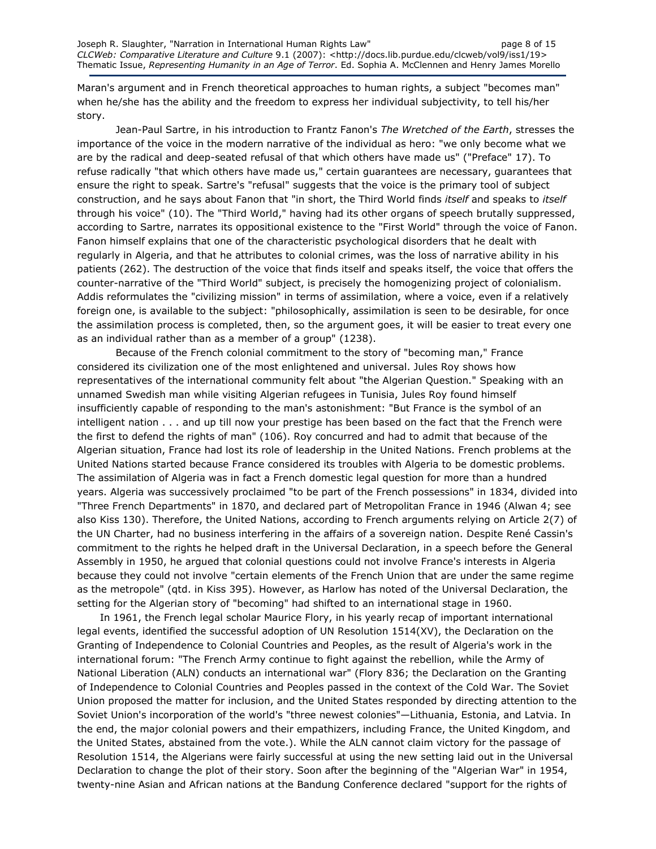Maran's argument and in French theoretical approaches to human rights, a subject "becomes man" when he/she has the ability and the freedom to express her individual subjectivity, to tell his/her story.

Jean-Paul Sartre, in his introduction to Frantz Fanon's The Wretched of the Earth, stresses the importance of the voice in the modern narrative of the individual as hero: "we only become what we are by the radical and deep-seated refusal of that which others have made us" ("Preface" 17). To refuse radically "that which others have made us," certain guarantees are necessary, guarantees that ensure the right to speak. Sartre's "refusal" suggests that the voice is the primary tool of subject construction, and he says about Fanon that "in short, the Third World finds itself and speaks to itself through his voice" (10). The "Third World," having had its other organs of speech brutally suppressed, according to Sartre, narrates its oppositional existence to the "First World" through the voice of Fanon. Fanon himself explains that one of the characteristic psychological disorders that he dealt with regularly in Algeria, and that he attributes to colonial crimes, was the loss of narrative ability in his patients (262). The destruction of the voice that finds itself and speaks itself, the voice that offers the counter-narrative of the "Third World" subject, is precisely the homogenizing project of colonialism. Addis reformulates the "civilizing mission" in terms of assimilation, where a voice, even if a relatively foreign one, is available to the subject: "philosophically, assimilation is seen to be desirable, for once the assimilation process is completed, then, so the argument goes, it will be easier to treat every one as an individual rather than as a member of a group" (1238).

 Because of the French colonial commitment to the story of "becoming man," France considered its civilization one of the most enlightened and universal. Jules Roy shows how representatives of the international community felt about "the Algerian Question." Speaking with an unnamed Swedish man while visiting Algerian refugees in Tunisia, Jules Roy found himself insufficiently capable of responding to the man's astonishment: "But France is the symbol of an intelligent nation . . . and up till now your prestige has been based on the fact that the French were the first to defend the rights of man" (106). Roy concurred and had to admit that because of the Algerian situation, France had lost its role of leadership in the United Nations. French problems at the United Nations started because France considered its troubles with Algeria to be domestic problems. The assimilation of Algeria was in fact a French domestic legal question for more than a hundred years. Algeria was successively proclaimed "to be part of the French possessions" in 1834, divided into "Three French Departments" in 1870, and declared part of Metropolitan France in 1946 (Alwan 4; see also Kiss 130). Therefore, the United Nations, according to French arguments relying on Article 2(7) of the UN Charter, had no business interfering in the affairs of a sovereign nation. Despite René Cassin's commitment to the rights he helped draft in the Universal Declaration, in a speech before the General Assembly in 1950, he argued that colonial questions could not involve France's interests in Algeria because they could not involve "certain elements of the French Union that are under the same regime as the metropole" (qtd. in Kiss 395). However, as Harlow has noted of the Universal Declaration, the setting for the Algerian story of "becoming" had shifted to an international stage in 1960.

In 1961, the French legal scholar Maurice Flory, in his yearly recap of important international legal events, identified the successful adoption of UN Resolution 1514(XV), the Declaration on the Granting of Independence to Colonial Countries and Peoples, as the result of Algeria's work in the international forum: "The French Army continue to fight against the rebellion, while the Army of National Liberation (ALN) conducts an international war" (Flory 836; the Declaration on the Granting of Independence to Colonial Countries and Peoples passed in the context of the Cold War. The Soviet Union proposed the matter for inclusion, and the United States responded by directing attention to the Soviet Union's incorporation of the world's "three newest colonies"—Lithuania, Estonia, and Latvia. In the end, the major colonial powers and their empathizers, including France, the United Kingdom, and the United States, abstained from the vote.). While the ALN cannot claim victory for the passage of Resolution 1514, the Algerians were fairly successful at using the new setting laid out in the Universal Declaration to change the plot of their story. Soon after the beginning of the "Algerian War" in 1954, twenty-nine Asian and African nations at the Bandung Conference declared "support for the rights of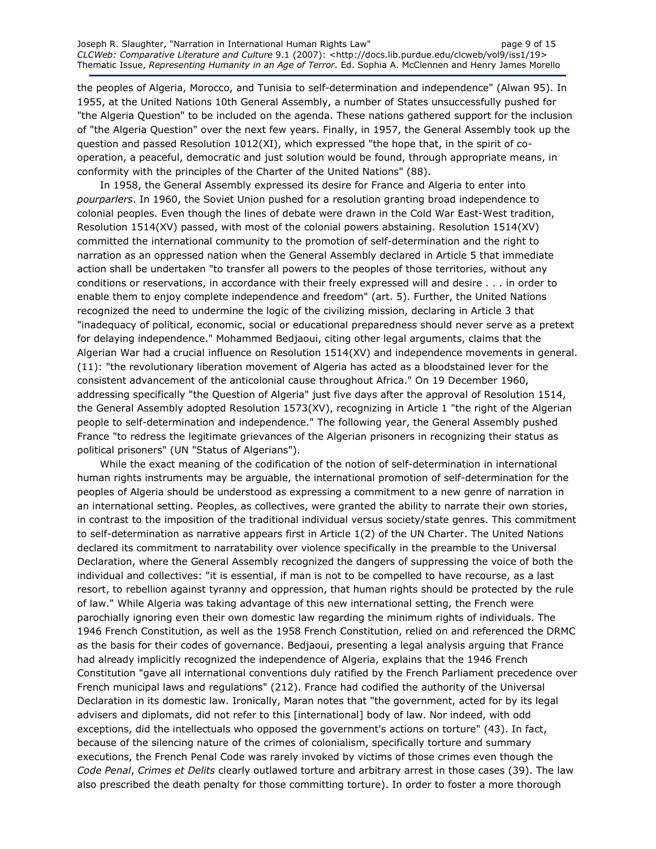the peoples of Algeria, Morocco, and Tunisia to self-determination and independence" (Alwan 95). In 1955, at the United Nations 10th General Assembly, a number of States unsuccessfully pushed for "the Algeria Question" to be included on the agenda. These nations gathered support for the inclusion of "the Algeria Question" over the next few years. Finally, in 1957, the General Assembly took up the question and passed Resolution 1012(XI), which expressed "the hope that, in the spirit of cooperation, a peaceful, democratic and just solution would be found, through appropriate means, in conformity with the principles of the Charter of the United Nations" (88).

In 1958, the General Assembly expressed its desire for France and Algeria to enter into pourparlers. In 1960, the Soviet Union pushed for a resolution granting broad independence to colonial peoples. Even though the lines of debate were drawn in the Cold War East-West tradition, Resolution 1514(XV) passed, with most of the colonial powers abstaining. Resolution 1514(XV) committed the international community to the promotion of self-determination and the right to narration as an oppressed nation when the General Assembly declared in Article 5 that immediate action shall be undertaken "to transfer all powers to the peoples of those territories, without any conditions or reservations, in accordance with their freely expressed will and desire . . . in order to enable them to enjoy complete independence and freedom" (art. 5). Further, the United Nations recognized the need to undermine the logic of the civilizing mission, declaring in Article 3 that "inadequacy of political, economic, social or educational preparedness should never serve as a pretext for delaying independence." Mohammed Bedjaoui, citing other legal arguments, claims that the Algerian War had a crucial influence on Resolution 1514(XV) and independence movements in general. (11): "the revolutionary liberation movement of Algeria has acted as a bloodstained lever for the consistent advancement of the anticolonial cause throughout Africa." On 19 December 1960, addressing specifically "the Question of Algeria" just five days after the approval of Resolution 1514, the General Assembly adopted Resolution 1573(XV), recognizing in Article 1 "the right of the Algerian people to self-determination and independence." The following year, the General Assembly pushed France "to redress the legitimate grievances of the Algerian prisoners in recognizing their status as political prisoners" (UN "Status of Algerians").

While the exact meaning of the codification of the notion of self-determination in international human rights instruments may be arguable, the international promotion of self-determination for the peoples of Algeria should be understood as expressing a commitment to a new genre of narration in an international setting. Peoples, as collectives, were granted the ability to narrate their own stories, in contrast to the imposition of the traditional individual versus society/state genres. This commitment to self-determination as narrative appears first in Article 1(2) of the UN Charter. The United Nations declared its commitment to narratability over violence specifically in the preamble to the Universal Declaration, where the General Assembly recognized the dangers of suppressing the voice of both the individual and collectives: "it is essential, if man is not to be compelled to have recourse, as a last resort, to rebellion against tyranny and oppression, that human rights should be protected by the rule of law." While Algeria was taking advantage of this new international setting, the French were parochially ignoring even their own domestic law regarding the minimum rights of individuals. The 1946 French Constitution, as well as the 1958 French Constitution, relied on and referenced the DRMC as the basis for their codes of governance. Bedjaoui, presenting a legal analysis arguing that France had already implicitly recognized the independence of Algeria, explains that the 1946 French Constitution "gave all international conventions duly ratified by the French Parliament precedence over French municipal laws and regulations" (212). France had codified the authority of the Universal Declaration in its domestic law. Ironically, Maran notes that "the government, acted for by its legal advisers and diplomats, did not refer to this [international] body of law. Nor indeed, with odd exceptions, did the intellectuals who opposed the government's actions on torture" (43). In fact, because of the silencing nature of the crimes of colonialism, specifically torture and summary executions, the French Penal Code was rarely invoked by victims of those crimes even though the Code Penal, Crimes et Delits clearly outlawed torture and arbitrary arrest in those cases (39). The law also prescribed the death penalty for those committing torture). In order to foster a more thorough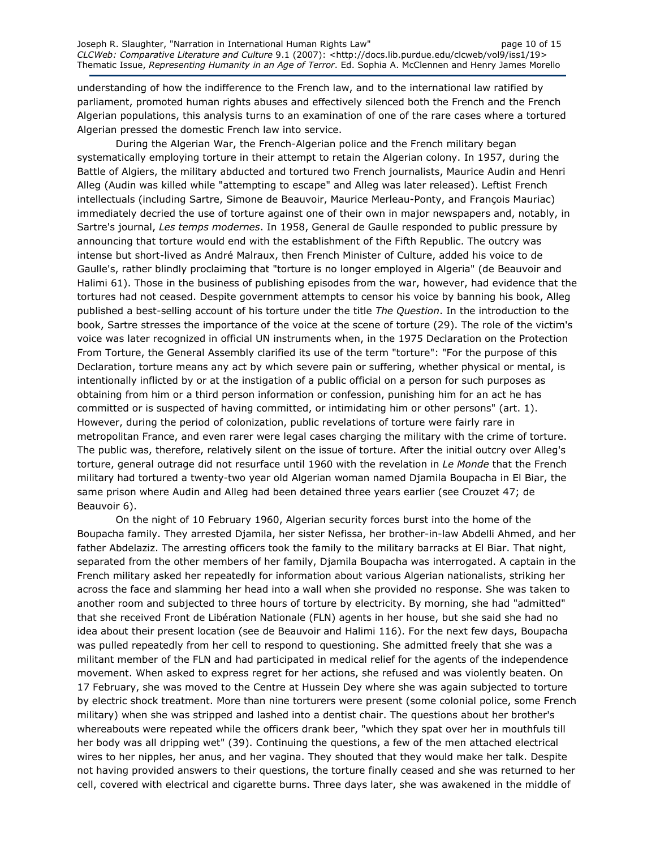understanding of how the indifference to the French law, and to the international law ratified by parliament, promoted human rights abuses and effectively silenced both the French and the French Algerian populations, this analysis turns to an examination of one of the rare cases where a tortured Algerian pressed the domestic French law into service.

 During the Algerian War, the French-Algerian police and the French military began systematically employing torture in their attempt to retain the Algerian colony. In 1957, during the Battle of Algiers, the military abducted and tortured two French journalists, Maurice Audin and Henri Alleg (Audin was killed while "attempting to escape" and Alleg was later released). Leftist French intellectuals (including Sartre, Simone de Beauvoir, Maurice Merleau-Ponty, and François Mauriac) immediately decried the use of torture against one of their own in major newspapers and, notably, in Sartre's journal, Les temps modernes. In 1958, General de Gaulle responded to public pressure by announcing that torture would end with the establishment of the Fifth Republic. The outcry was intense but short-lived as André Malraux, then French Minister of Culture, added his voice to de Gaulle's, rather blindly proclaiming that "torture is no longer employed in Algeria" (de Beauvoir and Halimi 61). Those in the business of publishing episodes from the war, however, had evidence that the tortures had not ceased. Despite government attempts to censor his voice by banning his book, Alleg published a best-selling account of his torture under the title The Question. In the introduction to the book, Sartre stresses the importance of the voice at the scene of torture (29). The role of the victim's voice was later recognized in official UN instruments when, in the 1975 Declaration on the Protection From Torture, the General Assembly clarified its use of the term "torture": "For the purpose of this Declaration, torture means any act by which severe pain or suffering, whether physical or mental, is intentionally inflicted by or at the instigation of a public official on a person for such purposes as obtaining from him or a third person information or confession, punishing him for an act he has committed or is suspected of having committed, or intimidating him or other persons" (art. 1). However, during the period of colonization, public revelations of torture were fairly rare in metropolitan France, and even rarer were legal cases charging the military with the crime of torture. The public was, therefore, relatively silent on the issue of torture. After the initial outcry over Alleg's torture, general outrage did not resurface until 1960 with the revelation in Le Monde that the French military had tortured a twenty-two year old Algerian woman named Djamila Boupacha in El Biar, the same prison where Audin and Alleg had been detained three years earlier (see Crouzet 47; de Beauvoir 6).

 On the night of 10 February 1960, Algerian security forces burst into the home of the Boupacha family. They arrested Djamila, her sister Nefissa, her brother-in-law Abdelli Ahmed, and her father Abdelaziz. The arresting officers took the family to the military barracks at El Biar. That night, separated from the other members of her family, Djamila Boupacha was interrogated. A captain in the French military asked her repeatedly for information about various Algerian nationalists, striking her across the face and slamming her head into a wall when she provided no response. She was taken to another room and subjected to three hours of torture by electricity. By morning, she had "admitted" that she received Front de Libération Nationale (FLN) agents in her house, but she said she had no idea about their present location (see de Beauvoir and Halimi 116). For the next few days, Boupacha was pulled repeatedly from her cell to respond to questioning. She admitted freely that she was a militant member of the FLN and had participated in medical relief for the agents of the independence movement. When asked to express regret for her actions, she refused and was violently beaten. On 17 February, she was moved to the Centre at Hussein Dey where she was again subjected to torture by electric shock treatment. More than nine torturers were present (some colonial police, some French military) when she was stripped and lashed into a dentist chair. The questions about her brother's whereabouts were repeated while the officers drank beer, "which they spat over her in mouthfuls till her body was all dripping wet" (39). Continuing the questions, a few of the men attached electrical wires to her nipples, her anus, and her vagina. They shouted that they would make her talk. Despite not having provided answers to their questions, the torture finally ceased and she was returned to her cell, covered with electrical and cigarette burns. Three days later, she was awakened in the middle of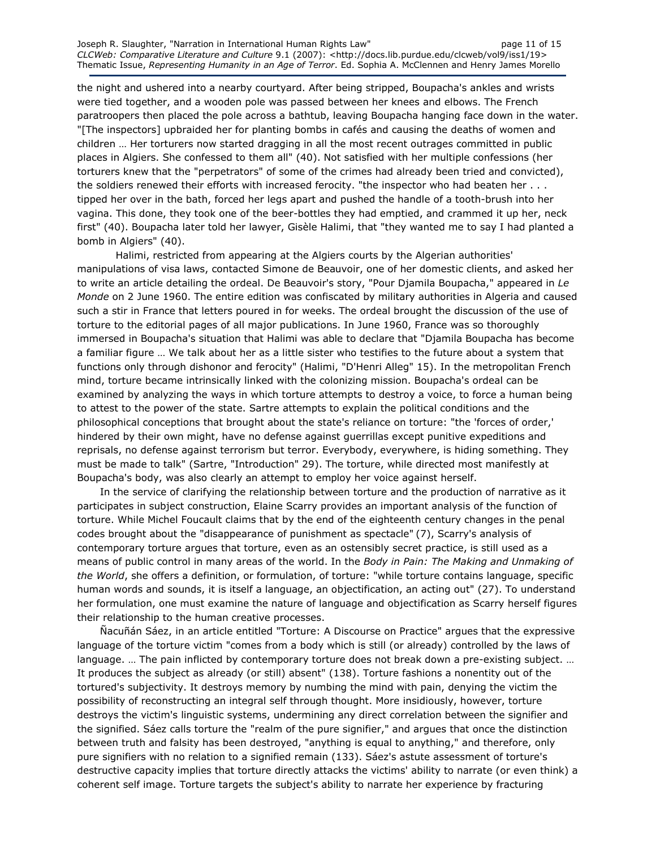the night and ushered into a nearby courtyard. After being stripped, Boupacha's ankles and wrists were tied together, and a wooden pole was passed between her knees and elbows. The French paratroopers then placed the pole across a bathtub, leaving Boupacha hanging face down in the water. "[The inspectors] upbraided her for planting bombs in cafés and causing the deaths of women and children … Her torturers now started dragging in all the most recent outrages committed in public places in Algiers. She confessed to them all" (40). Not satisfied with her multiple confessions (her torturers knew that the "perpetrators" of some of the crimes had already been tried and convicted), the soldiers renewed their efforts with increased ferocity. "the inspector who had beaten her . . . tipped her over in the bath, forced her legs apart and pushed the handle of a tooth-brush into her vagina. This done, they took one of the beer-bottles they had emptied, and crammed it up her, neck first" (40). Boupacha later told her lawyer, Gisèle Halimi, that "they wanted me to say I had planted a bomb in Algiers" (40).

 Halimi, restricted from appearing at the Algiers courts by the Algerian authorities' manipulations of visa laws, contacted Simone de Beauvoir, one of her domestic clients, and asked her to write an article detailing the ordeal. De Beauvoir's story, "Pour Djamila Boupacha," appeared in Le Monde on 2 June 1960. The entire edition was confiscated by military authorities in Algeria and caused such a stir in France that letters poured in for weeks. The ordeal brought the discussion of the use of torture to the editorial pages of all major publications. In June 1960, France was so thoroughly immersed in Boupacha's situation that Halimi was able to declare that "Djamila Boupacha has become a familiar figure … We talk about her as a little sister who testifies to the future about a system that functions only through dishonor and ferocity" (Halimi, "D'Henri Alleg" 15). In the metropolitan French mind, torture became intrinsically linked with the colonizing mission. Boupacha's ordeal can be examined by analyzing the ways in which torture attempts to destroy a voice, to force a human being to attest to the power of the state. Sartre attempts to explain the political conditions and the philosophical conceptions that brought about the state's reliance on torture: "the 'forces of order,' hindered by their own might, have no defense against guerrillas except punitive expeditions and reprisals, no defense against terrorism but terror. Everybody, everywhere, is hiding something. They must be made to talk" (Sartre, "Introduction" 29). The torture, while directed most manifestly at Boupacha's body, was also clearly an attempt to employ her voice against herself.

In the service of clarifying the relationship between torture and the production of narrative as it participates in subject construction, Elaine Scarry provides an important analysis of the function of torture. While Michel Foucault claims that by the end of the eighteenth century changes in the penal codes brought about the "disappearance of punishment as spectacle" (7), Scarry's analysis of contemporary torture argues that torture, even as an ostensibly secret practice, is still used as a means of public control in many areas of the world. In the Body in Pain: The Making and Unmaking of the World, she offers a definition, or formulation, of torture: "while torture contains language, specific human words and sounds, it is itself a language, an objectification, an acting out" (27). To understand her formulation, one must examine the nature of language and objectification as Scarry herself figures their relationship to the human creative processes.

Ñacuñán Sáez, in an article entitled "Torture: A Discourse on Practice" argues that the expressive language of the torture victim "comes from a body which is still (or already) controlled by the laws of language. … The pain inflicted by contemporary torture does not break down a pre-existing subject. … It produces the subject as already (or still) absent" (138). Torture fashions a nonentity out of the tortured's subjectivity. It destroys memory by numbing the mind with pain, denying the victim the possibility of reconstructing an integral self through thought. More insidiously, however, torture destroys the victim's linguistic systems, undermining any direct correlation between the signifier and the signified. Sáez calls torture the "realm of the pure signifier," and argues that once the distinction between truth and falsity has been destroyed, "anything is equal to anything," and therefore, only pure signifiers with no relation to a signified remain (133). Sáez's astute assessment of torture's destructive capacity implies that torture directly attacks the victims' ability to narrate (or even think) a coherent self image. Torture targets the subject's ability to narrate her experience by fracturing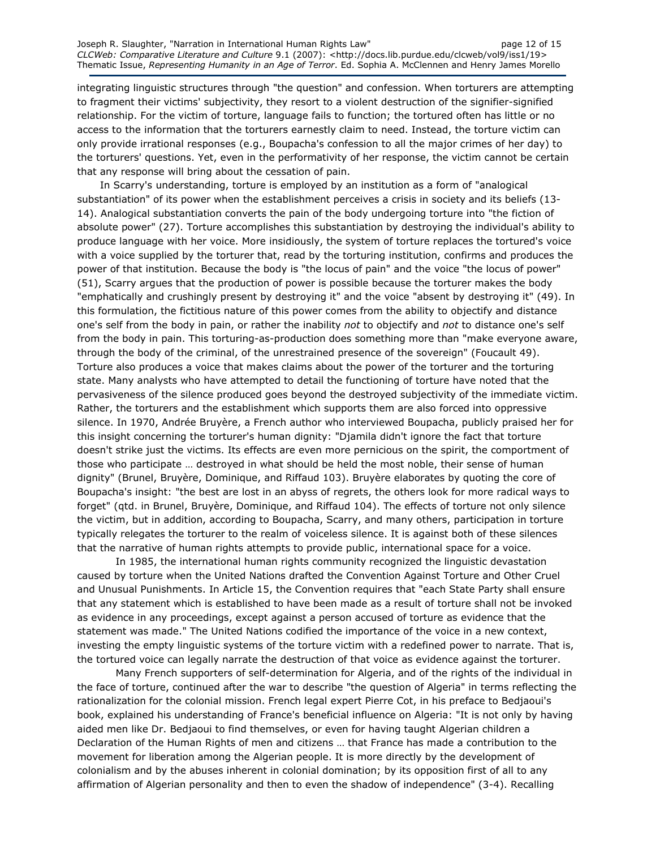integrating linguistic structures through "the question" and confession. When torturers are attempting to fragment their victims' subjectivity, they resort to a violent destruction of the signifier-signified relationship. For the victim of torture, language fails to function; the tortured often has little or no access to the information that the torturers earnestly claim to need. Instead, the torture victim can only provide irrational responses (e.g., Boupacha's confession to all the major crimes of her day) to the torturers' questions. Yet, even in the performativity of her response, the victim cannot be certain that any response will bring about the cessation of pain.

In Scarry's understanding, torture is employed by an institution as a form of "analogical substantiation" of its power when the establishment perceives a crisis in society and its beliefs (13- 14). Analogical substantiation converts the pain of the body undergoing torture into "the fiction of absolute power" (27). Torture accomplishes this substantiation by destroying the individual's ability to produce language with her voice. More insidiously, the system of torture replaces the tortured's voice with a voice supplied by the torturer that, read by the torturing institution, confirms and produces the power of that institution. Because the body is "the locus of pain" and the voice "the locus of power" (51), Scarry argues that the production of power is possible because the torturer makes the body "emphatically and crushingly present by destroying it" and the voice "absent by destroying it" (49). In this formulation, the fictitious nature of this power comes from the ability to objectify and distance one's self from the body in pain, or rather the inability not to objectify and not to distance one's self from the body in pain. This torturing-as-production does something more than "make everyone aware, through the body of the criminal, of the unrestrained presence of the sovereign" (Foucault 49). Torture also produces a voice that makes claims about the power of the torturer and the torturing state. Many analysts who have attempted to detail the functioning of torture have noted that the pervasiveness of the silence produced goes beyond the destroyed subjectivity of the immediate victim. Rather, the torturers and the establishment which supports them are also forced into oppressive silence. In 1970, Andrée Bruyère, a French author who interviewed Boupacha, publicly praised her for this insight concerning the torturer's human dignity: "Djamila didn't ignore the fact that torture doesn't strike just the victims. Its effects are even more pernicious on the spirit, the comportment of those who participate … destroyed in what should be held the most noble, their sense of human dignity" (Brunel, Bruyère, Dominique, and Riffaud 103). Bruyère elaborates by quoting the core of Boupacha's insight: "the best are lost in an abyss of regrets, the others look for more radical ways to forget" (qtd. in Brunel, Bruyère, Dominique, and Riffaud 104). The effects of torture not only silence the victim, but in addition, according to Boupacha, Scarry, and many others, participation in torture typically relegates the torturer to the realm of voiceless silence. It is against both of these silences that the narrative of human rights attempts to provide public, international space for a voice.

 In 1985, the international human rights community recognized the linguistic devastation caused by torture when the United Nations drafted the Convention Against Torture and Other Cruel and Unusual Punishments. In Article 15, the Convention requires that "each State Party shall ensure that any statement which is established to have been made as a result of torture shall not be invoked as evidence in any proceedings, except against a person accused of torture as evidence that the statement was made." The United Nations codified the importance of the voice in a new context, investing the empty linguistic systems of the torture victim with a redefined power to narrate. That is, the tortured voice can legally narrate the destruction of that voice as evidence against the torturer.

 Many French supporters of self-determination for Algeria, and of the rights of the individual in the face of torture, continued after the war to describe "the question of Algeria" in terms reflecting the rationalization for the colonial mission. French legal expert Pierre Cot, in his preface to Bedjaoui's book, explained his understanding of France's beneficial influence on Algeria: "It is not only by having aided men like Dr. Bedjaoui to find themselves, or even for having taught Algerian children a Declaration of the Human Rights of men and citizens … that France has made a contribution to the movement for liberation among the Algerian people. It is more directly by the development of colonialism and by the abuses inherent in colonial domination; by its opposition first of all to any affirmation of Algerian personality and then to even the shadow of independence" (3-4). Recalling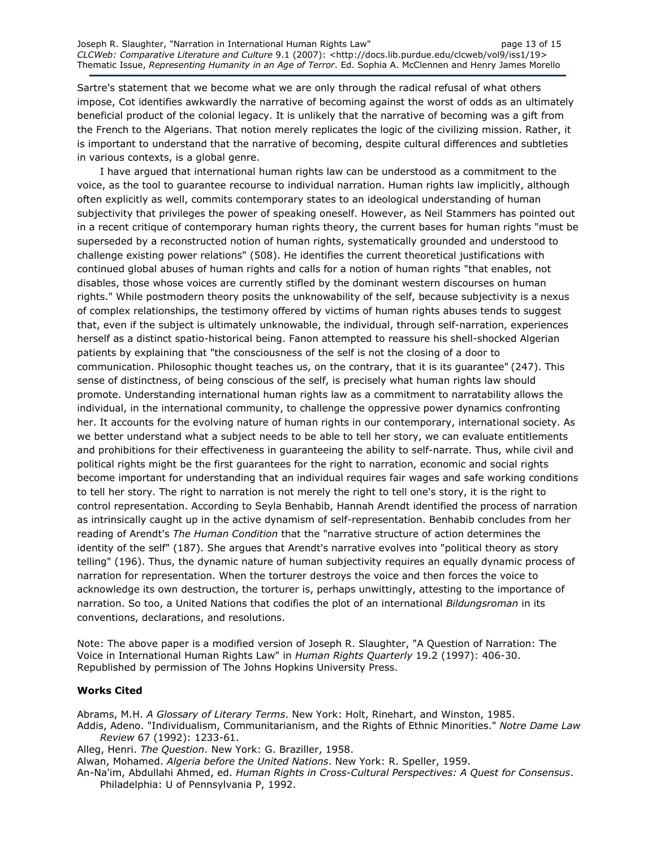Sartre's statement that we become what we are only through the radical refusal of what others impose, Cot identifies awkwardly the narrative of becoming against the worst of odds as an ultimately beneficial product of the colonial legacy. It is unlikely that the narrative of becoming was a gift from the French to the Algerians. That notion merely replicates the logic of the civilizing mission. Rather, it is important to understand that the narrative of becoming, despite cultural differences and subtleties in various contexts, is a global genre.

I have argued that international human rights law can be understood as a commitment to the voice, as the tool to guarantee recourse to individual narration. Human rights law implicitly, although often explicitly as well, commits contemporary states to an ideological understanding of human subjectivity that privileges the power of speaking oneself. However, as Neil Stammers has pointed out in a recent critique of contemporary human rights theory, the current bases for human rights "must be superseded by a reconstructed notion of human rights, systematically grounded and understood to challenge existing power relations" (508). He identifies the current theoretical justifications with continued global abuses of human rights and calls for a notion of human rights "that enables, not disables, those whose voices are currently stifled by the dominant western discourses on human rights." While postmodern theory posits the unknowability of the self, because subjectivity is a nexus of complex relationships, the testimony offered by victims of human rights abuses tends to suggest that, even if the subject is ultimately unknowable, the individual, through self-narration, experiences herself as a distinct spatio-historical being. Fanon attempted to reassure his shell-shocked Algerian patients by explaining that "the consciousness of the self is not the closing of a door to communication. Philosophic thought teaches us, on the contrary, that it is its guarantee" (247). This sense of distinctness, of being conscious of the self, is precisely what human rights law should promote. Understanding international human rights law as a commitment to narratability allows the individual, in the international community, to challenge the oppressive power dynamics confronting her. It accounts for the evolving nature of human rights in our contemporary, international society. As we better understand what a subject needs to be able to tell her story, we can evaluate entitlements and prohibitions for their effectiveness in guaranteeing the ability to self-narrate. Thus, while civil and political rights might be the first guarantees for the right to narration, economic and social rights become important for understanding that an individual requires fair wages and safe working conditions to tell her story. The right to narration is not merely the right to tell one's story, it is the right to control representation. According to Seyla Benhabib, Hannah Arendt identified the process of narration as intrinsically caught up in the active dynamism of self-representation. Benhabib concludes from her reading of Arendt's The Human Condition that the "narrative structure of action determines the identity of the self" (187). She argues that Arendt's narrative evolves into "political theory as story telling" (196). Thus, the dynamic nature of human subjectivity requires an equally dynamic process of narration for representation. When the torturer destroys the voice and then forces the voice to acknowledge its own destruction, the torturer is, perhaps unwittingly, attesting to the importance of narration. So too, a United Nations that codifies the plot of an international Bildungsroman in its conventions, declarations, and resolutions.

Note: The above paper is a modified version of Joseph R. Slaughter, "A Question of Narration: The Voice in International Human Rights Law" in Human Rights Quarterly 19.2 (1997): 406-30. Republished by permission of The Johns Hopkins University Press.

### Works Cited

Abrams, M.H. A Glossary of Literary Terms. New York: Holt, Rinehart, and Winston, 1985. Addis, Adeno. "Individualism, Communitarianism, and the Rights of Ethnic Minorities." Notre Dame Law Review 67 (1992): 1233-61.

Alleg, Henri. The Question. New York: G. Braziller, 1958.

Alwan, Mohamed. Algeria before the United Nations. New York: R. Speller, 1959.

An-Na'im, Abdullahi Ahmed, ed. Human Rights in Cross-Cultural Perspectives: A Quest for Consensus. Philadelphia: U of Pennsylvania P, 1992.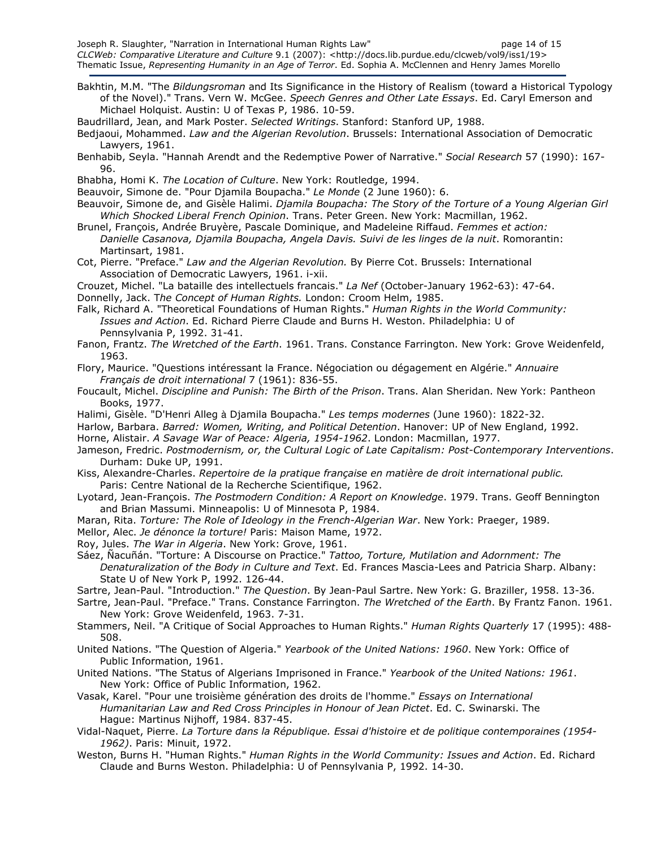- Bakhtin, M.M. "The Bildungsroman and Its Significance in the History of Realism (toward a Historical Typology of the Novel)." Trans. Vern W. McGee. Speech Genres and Other Late Essays. Ed. Caryl Emerson and Michael Holquist. Austin: U of Texas P, 1986. 10-59.
- Baudrillard, Jean, and Mark Poster. Selected Writings. Stanford: Stanford UP, 1988.

Bedjaoui, Mohammed. Law and the Algerian Revolution. Brussels: International Association of Democratic Lawyers, 1961.

- Benhabib, Seyla. "Hannah Arendt and the Redemptive Power of Narrative." Social Research 57 (1990): 167-96.
- Bhabha, Homi K. The Location of Culture. New York: Routledge, 1994.
- Beauvoir, Simone de. "Pour Djamila Boupacha." Le Monde (2 June 1960): 6.
- Beauvoir, Simone de, and Gisèle Halimi. Djamila Boupacha: The Story of the Torture of a Young Algerian Girl Which Shocked Liberal French Opinion. Trans. Peter Green. New York: Macmillan, 1962.
- Brunel, François, Andrée Bruyère, Pascale Dominique, and Madeleine Riffaud. Femmes et action: Danielle Casanova, Djamila Boupacha, Angela Davis. Suivi de les linges de la nuit. Romorantin: Martinsart, 1981.
- Cot, Pierre. "Preface." Law and the Algerian Revolution. By Pierre Cot. Brussels: International Association of Democratic Lawyers, 1961. i-xii.
- Crouzet, Michel. "La bataille des intellectuels francais." La Nef (October-January 1962-63): 47-64.
- Donnelly, Jack. The Concept of Human Rights. London: Croom Helm, 1985.
- Falk, Richard A. "Theoretical Foundations of Human Rights." Human Rights in the World Community: Issues and Action. Ed. Richard Pierre Claude and Burns H. Weston. Philadelphia: U of Pennsylvania P, 1992. 31-41.
- Fanon, Frantz. The Wretched of the Earth. 1961. Trans. Constance Farrington. New York: Grove Weidenfeld, 1963.
- Flory, Maurice. "Questions intéressant la France. Négociation ou dégagement en Algérie." Annuaire Français de droit international 7 (1961): 836-55.
- Foucault, Michel. Discipline and Punish: The Birth of the Prison. Trans. Alan Sheridan. New York: Pantheon Books, 1977.
- Halimi, Gisèle. "D'Henri Alleg à Djamila Boupacha." Les temps modernes (June 1960): 1822-32.
- Harlow, Barbara. Barred: Women, Writing, and Political Detention. Hanover: UP of New England, 1992.

Horne, Alistair. A Savage War of Peace: Algeria, 1954-1962. London: Macmillan, 1977.

- Jameson, Fredric. Postmodernism, or, the Cultural Logic of Late Capitalism: Post-Contemporary Interventions. Durham: Duke UP, 1991.
- Kiss, Alexandre-Charles. Repertoire de la pratique française en matière de droit international public. Paris: Centre National de la Recherche Scientifique, 1962.
- Lyotard, Jean-François. The Postmodern Condition: A Report on Knowledge. 1979. Trans. Geoff Bennington and Brian Massumi. Minneapolis: U of Minnesota P, 1984.
- Maran, Rita. Torture: The Role of Ideology in the French-Algerian War. New York: Praeger, 1989.
- Mellor, Alec. Je dénonce la torture! Paris: Maison Mame, 1972.
- Roy, Jules. The War in Algeria. New York: Grove, 1961.
- Sáez, Ñacuñán. "Torture: A Discourse on Practice." Tattoo, Torture, Mutilation and Adornment: The Denaturalization of the Body in Culture and Text. Ed. Frances Mascia-Lees and Patricia Sharp. Albany: State U of New York P, 1992. 126-44.
- Sartre, Jean-Paul. "Introduction." The Question. By Jean-Paul Sartre. New York: G. Braziller, 1958. 13-36.
- Sartre, Jean-Paul. "Preface." Trans. Constance Farrington. The Wretched of the Earth. By Frantz Fanon. 1961. New York: Grove Weidenfeld, 1963. 7-31.
- Stammers, Neil. "A Critique of Social Approaches to Human Rights." Human Rights Quarterly 17 (1995): 488-508.
- United Nations. "The Question of Algeria." Yearbook of the United Nations: 1960. New York: Office of Public Information, 1961.
- United Nations. "The Status of Algerians Imprisoned in France." Yearbook of the United Nations: 1961. New York: Office of Public Information, 1962.
- Vasak, Karel. "Pour une troisième génération des droits de l'homme." Essays on International Humanitarian Law and Red Cross Principles in Honour of Jean Pictet. Ed. C. Swinarski. The Hague: Martinus Nijhoff, 1984. 837-45.
- Vidal-Naquet, Pierre. La Torture dans la République. Essai d'histoire et de politique contemporaines (1954- 1962). Paris: Minuit, 1972.
- Weston, Burns H. "Human Rights." Human Rights in the World Community: Issues and Action. Ed. Richard Claude and Burns Weston. Philadelphia: U of Pennsylvania P, 1992. 14-30.